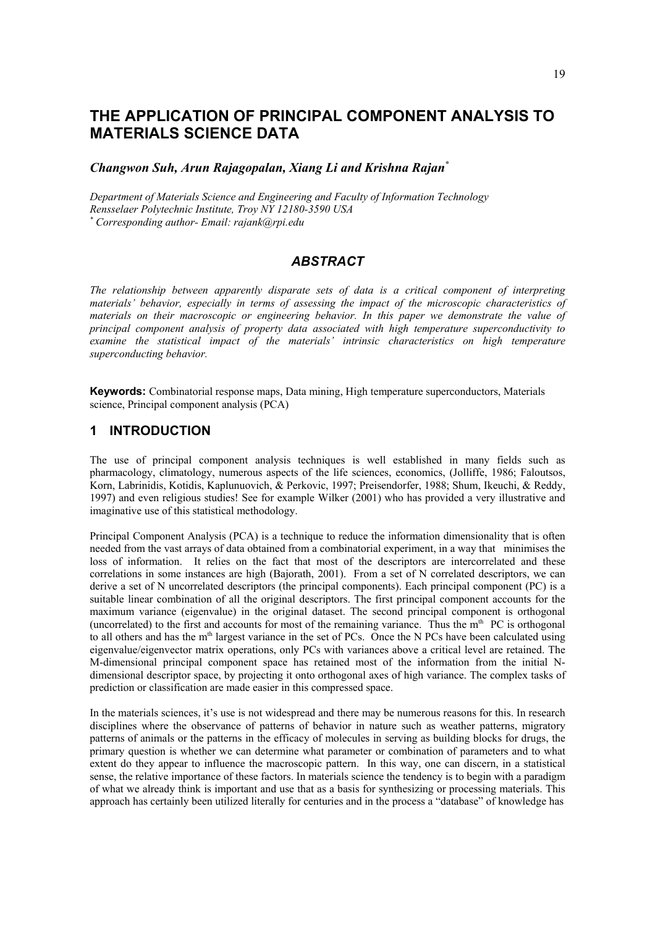# **THE APPLICATION OF PRINCIPAL COMPONENT ANALYSIS TO MATERIALS SCIENCE DATA**

#### *Changwon Suh, Arun Rajagopalan, Xiang Li and Krishna Rajan\**

*Department of Materials Science and Engineering and Faculty of Information Technology Rensselaer Polytechnic Institute, Troy NY 12180-3590 USA \* Corresponding author- Email: rajank@rpi.edu*

# *ABSTRACT*

*The relationship between apparently disparate sets of data is a critical component of interpreting materials' behavior, especially in terms of assessing the impact of the microscopic characteristics of materials on their macroscopic or engineering behavior. In this paper we demonstrate the value of principal component analysis of property data associated with high temperature superconductivity to examine the statistical impact of the materials' intrinsic characteristics on high temperature superconducting behavior.*

**Keywords:** Combinatorial response maps, Data mining, High temperature superconductors, Materials science, Principal component analysis (PCA)

#### **1 INTRODUCTION**

The use of principal component analysis techniques is well established in many fields such as pharmacology, climatology, numerous aspects of the life sciences, economics, (Jolliffe, 1986; Faloutsos, Korn, Labrinidis, Kotidis, Kaplunuovich, & Perkovic, 1997; Preisendorfer, 1988; Shum, Ikeuchi, & Reddy, 1997) and even religious studies! See for example Wilker (2001) who has provided a very illustrative and imaginative use of this statistical methodology.

Principal Component Analysis (PCA) is a technique to reduce the information dimensionality that is often needed from the vast arrays of data obtained from a combinatorial experiment, in a way that minimises the loss of information. It relies on the fact that most of the descriptors are intercorrelated and these correlations in some instances are high (Bajorath, 2001). From a set of N correlated descriptors, we can derive a set of N uncorrelated descriptors (the principal components). Each principal component (PC) is a suitable linear combination of all the original descriptors. The first principal component accounts for the maximum variance (eigenvalue) in the original dataset. The second principal component is orthogonal (uncorrelated) to the first and accounts for most of the remaining variance. Thus the  $m<sup>th</sup> PC$  is orthogonal to all others and has the m<sup>th</sup> largest variance in the set of PCs. Once the N PCs have been calculated using eigenvalue/eigenvector matrix operations, only PCs with variances above a critical level are retained. The M-dimensional principal component space has retained most of the information from the initial Ndimensional descriptor space, by projecting it onto orthogonal axes of high variance. The complex tasks of prediction or classification are made easier in this compressed space.

In the materials sciences, it's use is not widespread and there may be numerous reasons for this. In research disciplines where the observance of patterns of behavior in nature such as weather patterns, migratory patterns of animals or the patterns in the efficacy of molecules in serving as building blocks for drugs, the primary question is whether we can determine what parameter or combination of parameters and to what extent do they appear to influence the macroscopic pattern. In this way, one can discern, in a statistical sense, the relative importance of these factors. In materials science the tendency is to begin with a paradigm of what we already think is important and use that as a basis for synthesizing or processing materials. This approach has certainly been utilized literally for centuries and in the process a "database" of knowledge has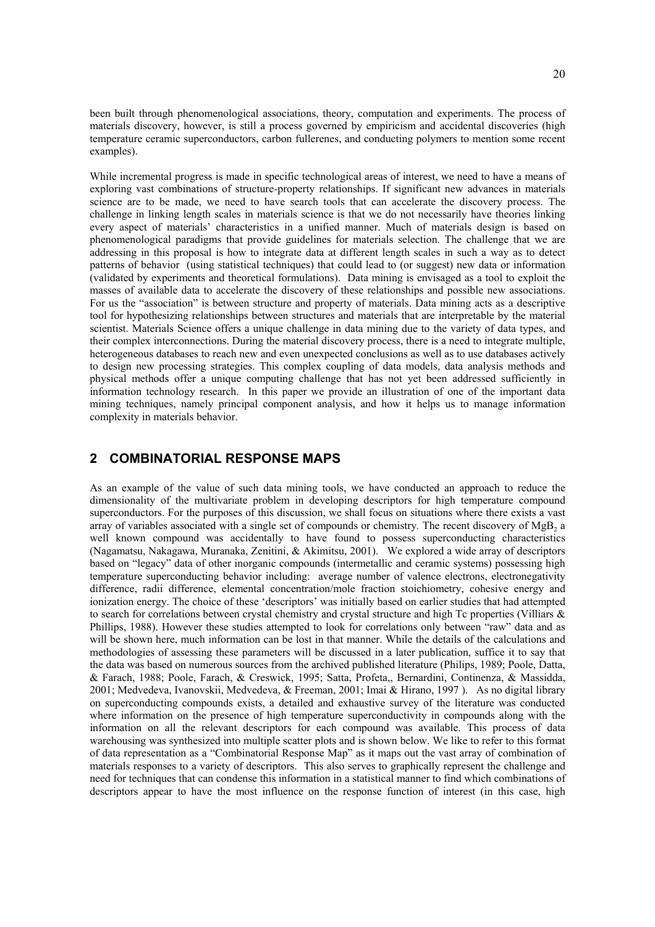been built through phenomenological associations, theory, computation and experiments. The process of materials discovery, however, is still a process governed by empiricism and accidental discoveries (high temperature ceramic superconductors, carbon fullerenes, and conducting polymers to mention some recent examples).

While incremental progress is made in specific technological areas of interest, we need to have a means of exploring vast combinations of structure-property relationships. If significant new advances in materials science are to be made, we need to have search tools that can accelerate the discovery process. The challenge in linking length scales in materials science is that we do not necessarily have theories linking every aspect of materials' characteristics in a unified manner. Much of materials design is based on phenomenological paradigms that provide guidelines for materials selection. The challenge that we are addressing in this proposal is how to integrate data at different length scales in such a way as to detect patterns of behavior (using statistical techniques) that could lead to (or suggest) new data or information (validated by experiments and theoretical formulations). Data mining is envisaged as a tool to exploit the masses of available data to accelerate the discovery of these relationships and possible new associations. For us the "association" is between structure and property of materials. Data mining acts as a descriptive tool for hypothesizing relationships between structures and materials that are interpretable by the material scientist. Materials Science offers a unique challenge in data mining due to the variety of data types, and their complex interconnections. During the material discovery process, there is a need to integrate multiple, heterogeneous databases to reach new and even unexpected conclusions as well as to use databases actively to design new processing strategies. This complex coupling of data models, data analysis methods and physical methods offer a unique computing challenge that has not yet been addressed sufficiently in information technology research. In this paper we provide an illustration of one of the important data mining techniques, namely principal component analysis, and how it helps us to manage information complexity in materials behavior.

## **2 COMBINATORIAL RESPONSE MAPS**

As an example of the value of such data mining tools, we have conducted an approach to reduce the dimensionality of the multivariate problem in developing descriptors for high temperature compound superconductors. For the purposes of this discussion, we shall focus on situations where there exists a vast array of variables associated with a single set of compounds or chemistry. The recent discovery of MgB<sub>2</sub> a well known compound was accidentally to have found to possess superconducting characteristics (Nagamatsu, Nakagawa, Muranaka, Zenitini, & Akimitsu, 2001). We explored a wide array of descriptors based on "legacy" data of other inorganic compounds (intermetallic and ceramic systems) possessing high temperature superconducting behavior including: average number of valence electrons, electronegativity difference, radii difference, elemental concentration/mole fraction stoichiometry, cohesive energy and ionization energy. The choice of these 'descriptors' was initially based on earlier studies that had attempted to search for correlations between crystal chemistry and crystal structure and high Tc properties (Villiars & Phillips, 1988). However these studies attempted to look for correlations only between "raw" data and as will be shown here, much information can be lost in that manner. While the details of the calculations and methodologies of assessing these parameters will be discussed in a later publication, suffice it to say that the data was based on numerous sources from the archived published literature (Philips, 1989; Poole, Datta, & Farach, 1988; Poole, Farach, & Creswick, 1995; Satta, Profeta,, Bernardini, Continenza, & Massidda, 2001; Medvedeva, Ivanovskii, Medvedeva, & Freeman, 2001; Imai & Hirano, 1997 ). As no digital library on superconducting compounds exists, a detailed and exhaustive survey of the literature was conducted where information on the presence of high temperature superconductivity in compounds along with the information on all the relevant descriptors for each compound was available. This process of data warehousing was synthesized into multiple scatter plots and is shown below. We like to refer to this format of data representation as a "Combinatorial Response Map" as it maps out the vast array of combination of materials responses to a variety of descriptors. This also serves to graphically represent the challenge and need for techniques that can condense this information in a statistical manner to find which combinations of descriptors appear to have the most influence on the response function of interest (in this case, high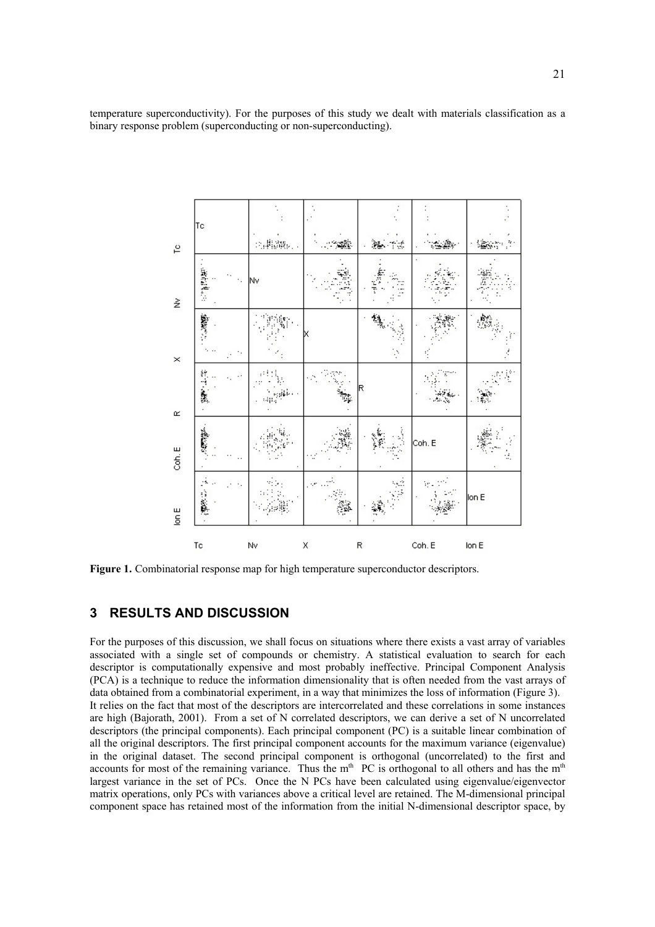temperature superconductivity). For the purposes of this study we dealt with materials classification as a binary response problem (superconducting or non-superconducting).



**Figure 1.** Combinatorial response map for high temperature superconductor descriptors.

#### **3 RESULTS AND DISCUSSION**

For the purposes of this discussion, we shall focus on situations where there exists a vast array of variables associated with a single set of compounds or chemistry. A statistical evaluation to search for each descriptor is computationally expensive and most probably ineffective. Principal Component Analysis (PCA) is a technique to reduce the information dimensionality that is often needed from the vast arrays of data obtained from a combinatorial experiment, in a way that minimizes the loss of information (Figure 3). It relies on the fact that most of the descriptors are intercorrelated and these correlations in some instances are high (Bajorath, 2001). From a set of N correlated descriptors, we can derive a set of N uncorrelated descriptors (the principal components). Each principal component (PC) is a suitable linear combination of all the original descriptors. The first principal component accounts for the maximum variance (eigenvalue) in the original dataset. The second principal component is orthogonal (uncorrelated) to the first and accounts for most of the remaining variance. Thus the  $m<sup>th</sup> PC$  is orthogonal to all others and has the  $m<sup>th</sup>$ largest variance in the set of PCs. Once the N PCs have been calculated using eigenvalue/eigenvector matrix operations, only PCs with variances above a critical level are retained. The M-dimensional principal component space has retained most of the information from the initial N-dimensional descriptor space, by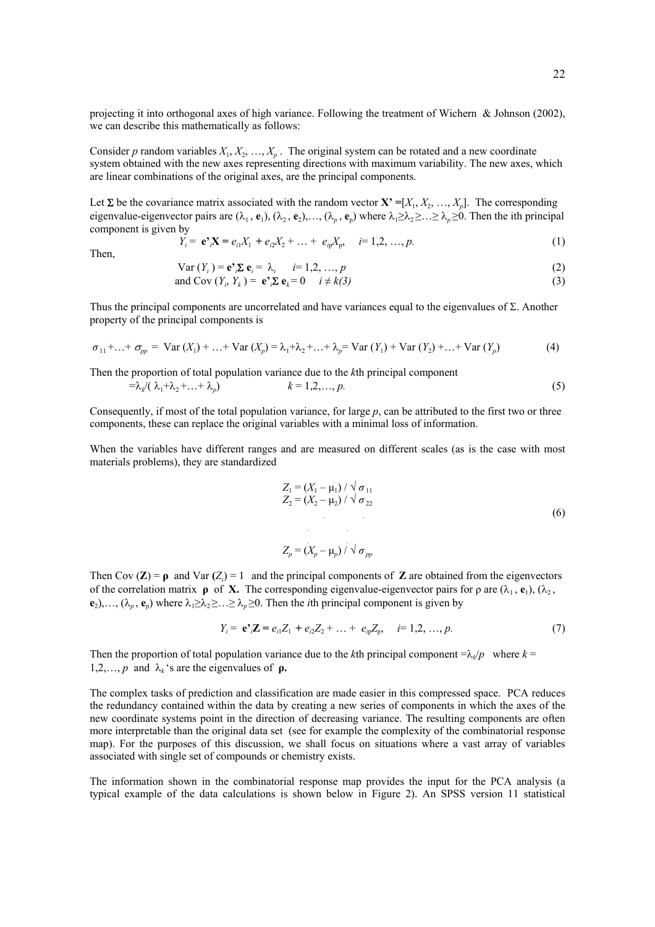projecting it into orthogonal axes of high variance. Following the treatment of Wichern & Johnson (2002), we can describe this mathematically as follows:

Consider *p* random variables  $X_1, X_2, ..., X_n$ . The original system can be rotated and a new coordinate system obtained with the new axes representing directions with maximum variability. The new axes, which are linear combinations of the original axes, are the principal components.

Let  $\Sigma$  be the covariance matrix associated with the random vector  $\mathbf{X}' = [X_1, X_2, \ldots, X_n]$ . The corresponding eigenvalue-eigenvector pairs are  $(\lambda_1, \mathbf{e}_1), (\lambda_2, \mathbf{e}_2),..., (\lambda_p, \mathbf{e}_p)$  where  $\lambda_1 \geq \lambda_2 \geq ... \geq \lambda_p \geq 0$ . Then the ith principal component is given by

$$
Y_i = \mathbf{e}^* \cdot \mathbf{X} = e_{i1} X_1 + e_{i2} X_2 + \dots + e_{ip} X_p, \quad i = 1, 2, \dots, p. \tag{1}
$$

Then,

$$
Var(Y_i) = \mathbf{e}^* \mathbf{\Sigma} \mathbf{e}_i = \lambda_i \qquad i = 1, 2, ..., p
$$
 (2)

and Cov 
$$
(Y_i, Y_k) = \mathbf{e}^* \mathbf{E} \mathbf{e}_k = 0 \quad i \neq k(3)
$$
 (3)

Thus the principal components are uncorrelated and have variances equal to the eigenvalues of Σ. Another property of the principal components is

$$
\sigma_{11} + ... + \sigma_{pp} = \text{Var}(X_1) + ... + \text{Var}(X_p) = \lambda_1 + \lambda_2 + ... + \lambda_p = \text{Var}(Y_1) + \text{Var}(Y_2) + ... + \text{Var}(Y_p)
$$
(4)

Then the proportion of total population variance due to the *k*th principal component

$$
=\lambda_k/(\lambda_1+\lambda_2+\ldots+\lambda_p) \qquad k=1,2,\ldots,p. \qquad (5)
$$

Consequently, if most of the total population variance, for large *p*, can be attributed to the first two or three components, these can replace the original variables with a minimal loss of information.

When the variables have different ranges and are measured on different scales (as is the case with most materials problems), they are standardized

$$
Z_1 = (X_1 - \mu_1) / \sqrt{\sigma_{11}}
$$
  
\n
$$
Z_2 = (X_2 - \mu_2) / \sqrt{\sigma_{22}}
$$
  
\n
$$
Z_p = (X_p - \mu_p) / \sqrt{\sigma_{pp}}
$$
\n(6)

Then Cov  $(\mathbf{Z}) = \rho$  and Var  $(Z_i) = 1$  and the principal components of **Z** are obtained from the eigenvectors of the correlation matrix **ρ** of **X**. The corresponding eigenvalue-eigenvector pairs for ρ are  $(\lambda_1, \mathbf{e}_1), (\lambda_2, \mathbf{e}_2)$ **e**<sub>2</sub>),..., ( $\lambda_p$ , **e**<sub>p</sub>) where  $\lambda_1 \geq \lambda_2 \geq \ldots \geq \lambda_p \geq 0$ . Then the *i*th principal component is given by

$$
Y_i = \mathbf{e}^* \mathbf{Z} = e_{i1} Z_1 + e_{i2} Z_2 + \dots + e_{ip} Z_p, \quad i = 1, 2, \dots, p. \tag{7}
$$

Then the proportion of total population variance due to the *k*th principal component  $=\lambda_k/p$  where  $k =$ 1,2,..., *p* and  $\lambda_k$ 's are the eigenvalues of **ρ**.

The complex tasks of prediction and classification are made easier in this compressed space. PCA reduces the redundancy contained within the data by creating a new series of components in which the axes of the new coordinate systems point in the direction of decreasing variance. The resulting components are often more interpretable than the original data set (see for example the complexity of the combinatorial response map). For the purposes of this discussion, we shall focus on situations where a vast array of variables associated with single set of compounds or chemistry exists.

The information shown in the combinatorial response map provides the input for the PCA analysis (a typical example of the data calculations is shown below in Figure 2). An SPSS version 11 statistical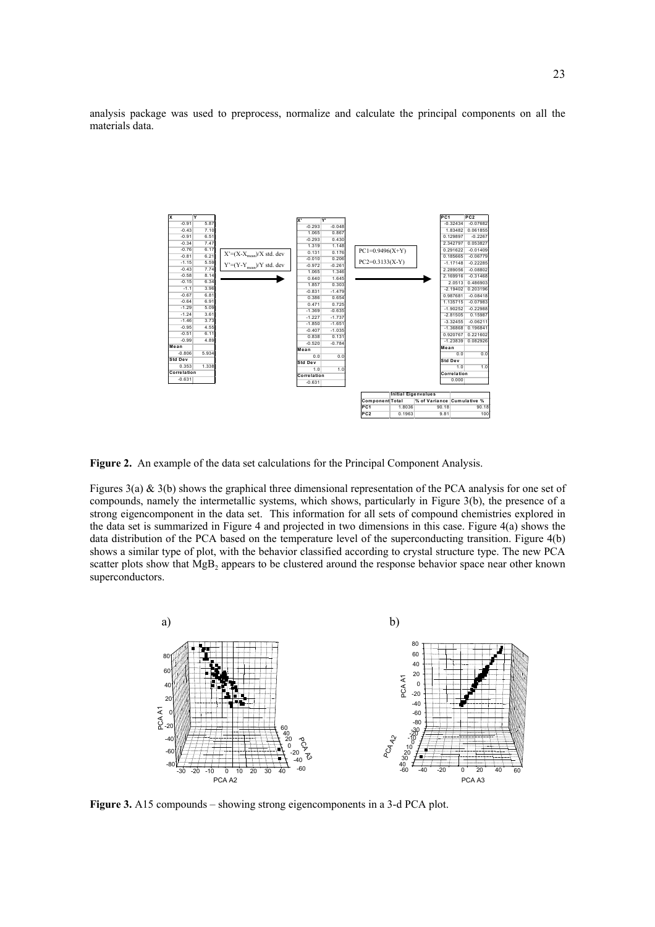analysis package was used to preprocess, normalize and calculate the principal components on all the materials data.



**Figure 2.** An example of the data set calculations for the Principal Component Analysis.

Figures 3(a)  $\&$  3(b) shows the graphical three dimensional representation of the PCA analysis for one set of compounds, namely the intermetallic systems, which shows, particularly in Figure 3(b), the presence of a strong eigencomponent in the data set. This information for all sets of compound chemistries explored in the data set is summarized in Figure 4 and projected in two dimensions in this case. Figure 4(a) shows the data distribution of the PCA based on the temperature level of the superconducting transition. Figure 4(b) shows a similar type of plot, with the behavior classified according to crystal structure type. The new PCA scatter plots show that MgB<sub>2</sub> appears to be clustered around the response behavior space near other known superconductors.



**Figure 3.** A15 compounds – showing strong eigencomponents in a 3-d PCA plot.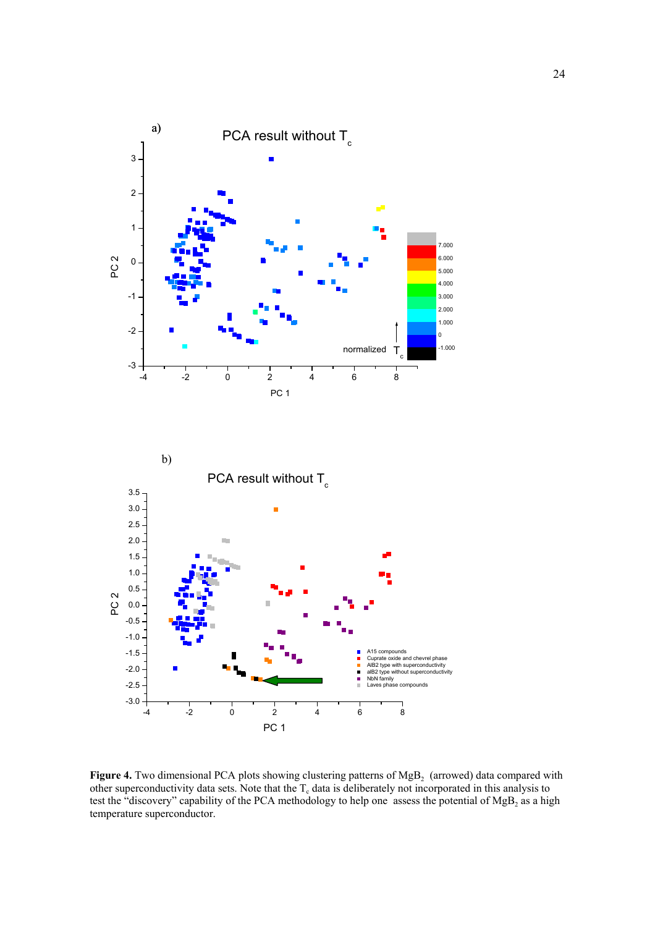

Figure 4. Two dimensional PCA plots showing clustering patterns of MgB<sub>2</sub> (arrowed) data compared with other superconductivity data sets. Note that the  $T_c$  data is deliberately not incorporated in this analysis to test the "discovery" capability of the PCA methodology to help one assess the potential of MgB<sub>2</sub> as a high temperature superconductor.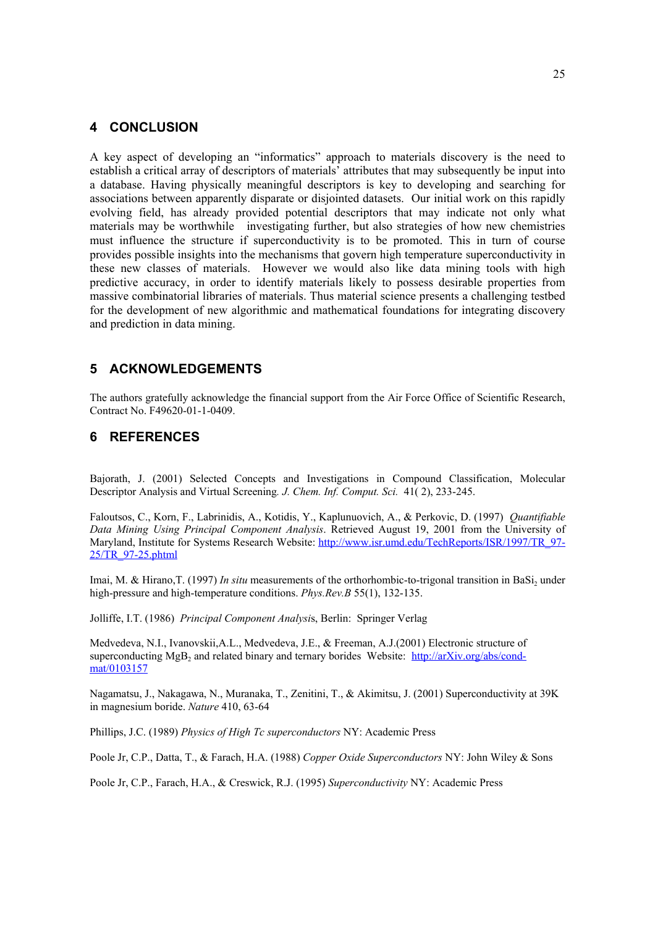# **4 CONCLUSION**

A key aspect of developing an "informatics" approach to materials discovery is the need to establish a critical array of descriptors of materials' attributes that may subsequently be input into a database. Having physically meaningful descriptors is key to developing and searching for associations between apparently disparate or disjointed datasets. Our initial work on this rapidly evolving field, has already provided potential descriptors that may indicate not only what materials may be worthwhile investigating further, but also strategies of how new chemistries must influence the structure if superconductivity is to be promoted. This in turn of course provides possible insights into the mechanisms that govern high temperature superconductivity in these new classes of materials. However we would also like data mining tools with high predictive accuracy, in order to identify materials likely to possess desirable properties from massive combinatorial libraries of materials. Thus material science presents a challenging testbed for the development of new algorithmic and mathematical foundations for integrating discovery and prediction in data mining.

## **5 ACKNOWLEDGEMENTS**

The authors gratefully acknowledge the financial support from the Air Force Office of Scientific Research, Contract No. F49620-01-1-0409.

#### **6 REFERENCES**

Bajorath, J. (2001) Selected Concepts and Investigations in Compound Classification, Molecular Descriptor Analysis and Virtual Screening*. J. Chem. Inf. Comput. Sci.* 41( 2), 233-245.

Faloutsos, C., Korn, F., Labrinidis, A., Kotidis, Y., Kaplunuovich, A., & Perkovic, D. (1997) *Quantifiable Data Mining Using Principal Component Analysis*. Retrieved August 19, 2001 from the University of Maryland, Institute for Systems Research Website: http://www.isr.umd.edu/TechReports/ISR/1997/TR\_97- 25/TR\_97-25.phtml

Imai, M. & Hirano, T. (1997) *In situ* measurements of the orthorhombic-to-trigonal transition in BaSi<sub>2</sub> under high-pressure and high-temperature conditions. *Phys.Rev.B* 55(1), 132-135.

Jolliffe, I.T. (1986) *Principal Component Analysi*s, Berlin: Springer Verlag

Medvedeva, N.I., Ivanovskii,A.L., Medvedeva, J.E., & Freeman, A.J.(2001) Electronic structure of superconducting MgB<sub>2</sub> and related binary and ternary borides Website: http://arXiv.org/abs/condmat/0103157

Nagamatsu, J., Nakagawa, N., Muranaka, T., Zenitini, T., & Akimitsu, J. (2001) Superconductivity at 39K in magnesium boride. *Nature* 410, 63-64

Phillips, J.C. (1989) *Physics of High Tc superconductors* NY: Academic Press

Poole Jr, C.P., Datta, T., & Farach, H.A. (1988) *Copper Oxide Superconductors* NY: John Wiley & Sons

Poole Jr, C.P., Farach, H.A., & Creswick, R.J. (1995) *Superconductivity* NY: Academic Press